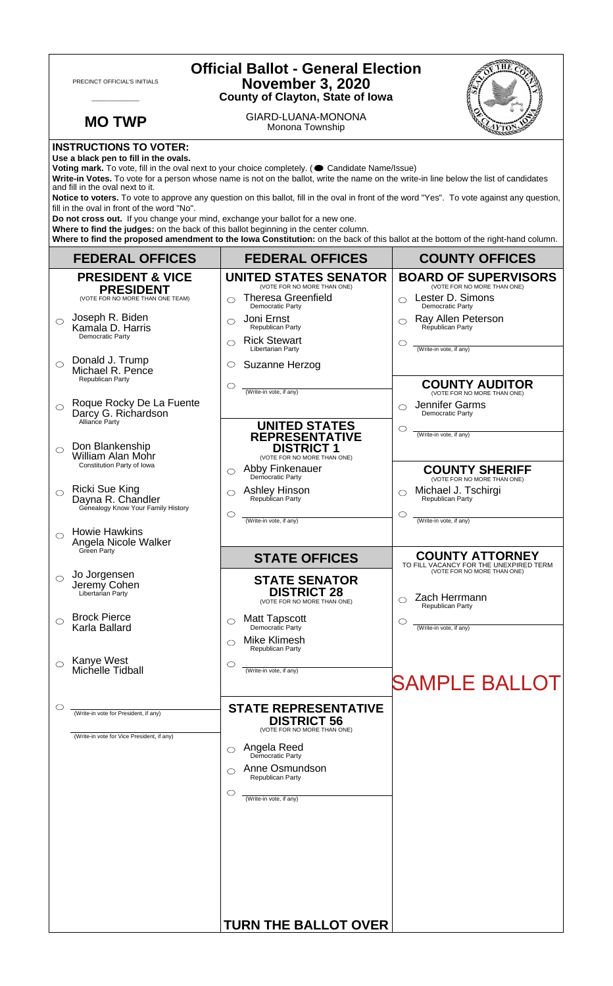| <b>Official Ballot - General Election</b><br>PRECINCT OFFICIAL'S INITIALS<br><b>November 3, 2020</b><br><b>County of Clayton, State of Iowa</b>                                                                                                                                                                                                                                                                                                                                                                                                                                                                                                                                                                                |                                                                           |                                                                                                                                                             |                                                                        |  |
|--------------------------------------------------------------------------------------------------------------------------------------------------------------------------------------------------------------------------------------------------------------------------------------------------------------------------------------------------------------------------------------------------------------------------------------------------------------------------------------------------------------------------------------------------------------------------------------------------------------------------------------------------------------------------------------------------------------------------------|---------------------------------------------------------------------------|-------------------------------------------------------------------------------------------------------------------------------------------------------------|------------------------------------------------------------------------|--|
|                                                                                                                                                                                                                                                                                                                                                                                                                                                                                                                                                                                                                                                                                                                                | <b>MO TWP</b>                                                             | GIARD-LUANA-MONONA<br>Monona Township                                                                                                                       |                                                                        |  |
| <b>INSTRUCTIONS TO VOTER:</b><br>Use a black pen to fill in the ovals.<br>Voting mark. To vote, fill in the oval next to your choice completely. (Candidate Name/Issue)<br>Write-in Votes. To vote for a person whose name is not on the ballot, write the name on the write-in line below the list of candidates<br>and fill in the oval next to it.<br>Notice to voters. To vote to approve any question on this ballot, fill in the oval in front of the word "Yes". To vote against any question,<br>fill in the oval in front of the word "No".<br>Do not cross out. If you change your mind, exchange your ballot for a new one.<br>Where to find the judges: on the back of this ballot beginning in the center column. |                                                                           |                                                                                                                                                             |                                                                        |  |
|                                                                                                                                                                                                                                                                                                                                                                                                                                                                                                                                                                                                                                                                                                                                | <b>FEDERAL OFFICES</b>                                                    | Where to find the proposed amendment to the lowa Constitution: on the back of this ballot at the bottom of the right-hand column.<br><b>FEDERAL OFFICES</b> | <b>COUNTY OFFICES</b>                                                  |  |
|                                                                                                                                                                                                                                                                                                                                                                                                                                                                                                                                                                                                                                                                                                                                | <b>PRESIDENT &amp; VICE</b>                                               | <b>UNITED STATES SENATOR</b><br>(VOTE FOR NO MORE THAN ONE)                                                                                                 | <b>BOARD OF SUPERVISORS</b><br>(VOTE FOR NO MORE THAN ONE)             |  |
|                                                                                                                                                                                                                                                                                                                                                                                                                                                                                                                                                                                                                                                                                                                                | <b>PRESIDENT</b><br>(VOTE FOR NO MORE THAN ONE TEAM)                      | <b>Theresa Greenfield</b><br>⌒<br>Democratic Party                                                                                                          | Lester D. Simons<br>$\bigcap$<br>Democratic Party                      |  |
| ◯                                                                                                                                                                                                                                                                                                                                                                                                                                                                                                                                                                                                                                                                                                                              | Joseph R. Biden<br>Kamala D. Harris<br>Democratic Party                   | Joni Ernst<br>⌒<br>Republican Party<br><b>Rick Stewart</b><br>⌒                                                                                             | Ray Allen Peterson<br>$\bigcirc$<br>Republican Party<br>O              |  |
| $\bigcirc$                                                                                                                                                                                                                                                                                                                                                                                                                                                                                                                                                                                                                                                                                                                     | Donald J. Trump                                                           | Libertarian Party<br>Suzanne Herzog<br>O                                                                                                                    | (Write-in vote, if any)                                                |  |
|                                                                                                                                                                                                                                                                                                                                                                                                                                                                                                                                                                                                                                                                                                                                | Michael R. Pence<br>Republican Party                                      | $\circlearrowright$                                                                                                                                         | <b>COUNTY AUDITOR</b>                                                  |  |
| $\bigcirc$                                                                                                                                                                                                                                                                                                                                                                                                                                                                                                                                                                                                                                                                                                                     | Roque Rocky De La Fuente<br>Darcy G. Richardson<br>Alliance Party         | (Write-in vote, if any)                                                                                                                                     | (VOTE FOR NO MORE THAN ONE)<br>Jennifer Garms<br>◯<br>Democratic Party |  |
| ◯                                                                                                                                                                                                                                                                                                                                                                                                                                                                                                                                                                                                                                                                                                                              | Don Blankenship<br>William Alan Mohr                                      | <b>UNITED STATES</b><br><b>REPRESENTATIVE</b><br><b>DISTRICT 1</b><br>(VOTE FOR NO MORE THAN ONE)                                                           | $\circlearrowright$<br>(Write-in vote, if any)                         |  |
|                                                                                                                                                                                                                                                                                                                                                                                                                                                                                                                                                                                                                                                                                                                                | Constitution Party of Iowa                                                | Abby Finkenauer<br>◯<br>Democratic Party                                                                                                                    | <b>COUNTY SHERIFF</b><br>(VOTE FOR NO MORE THAN ONE)                   |  |
| $\circ$                                                                                                                                                                                                                                                                                                                                                                                                                                                                                                                                                                                                                                                                                                                        | Ricki Sue King<br>Dayna R. Chandler<br>Genealogy Know Your Family History | Ashley Hinson<br>⌒<br>Republican Party<br>$\circlearrowright$                                                                                               | Michael J. Tschirgi<br>◯<br>Republican Party<br>O                      |  |
| ◯                                                                                                                                                                                                                                                                                                                                                                                                                                                                                                                                                                                                                                                                                                                              | <b>Howie Hawkins</b><br>Angela Nicole Walker                              | (Write-in vote, if any)                                                                                                                                     | (Write-in vote, if any)                                                |  |
|                                                                                                                                                                                                                                                                                                                                                                                                                                                                                                                                                                                                                                                                                                                                | Green Party                                                               | <b>STATE OFFICES</b>                                                                                                                                        | <b>COUNTY ATTORNEY</b><br>TO FILL VACANCY FOR THE UNEXPIRED TERM       |  |
| $\circ$                                                                                                                                                                                                                                                                                                                                                                                                                                                                                                                                                                                                                                                                                                                        | Jo Jorgensen<br>Jeremy Cohen<br>Libertarian Party                         | <b>STATE SENATOR</b><br><b>DISTRICT 28</b><br>(VOTE FOR NO MORE THAN ONE)                                                                                   | (VOTE FOR NO MORE THAN ONE)<br>Zach Herrmann<br>Republican Party       |  |
| ◯                                                                                                                                                                                                                                                                                                                                                                                                                                                                                                                                                                                                                                                                                                                              | <b>Brock Pierce</b><br>Karla Ballard                                      | <b>Matt Tapscott</b><br>◯<br>Democratic Party                                                                                                               | C<br>(Write-in vote, if any)                                           |  |
|                                                                                                                                                                                                                                                                                                                                                                                                                                                                                                                                                                                                                                                                                                                                |                                                                           | <b>Mike Klimesh</b><br>⌒<br><b>Republican Party</b>                                                                                                         |                                                                        |  |
| $\bigcirc$                                                                                                                                                                                                                                                                                                                                                                                                                                                                                                                                                                                                                                                                                                                     | Kanye West<br>Michelle Tidball                                            | O<br>(Write-in vote, if any)                                                                                                                                | <b>SAMPLE BALLOT</b>                                                   |  |
| O                                                                                                                                                                                                                                                                                                                                                                                                                                                                                                                                                                                                                                                                                                                              |                                                                           | <b>STATE REPRESENTATIVE</b>                                                                                                                                 |                                                                        |  |
|                                                                                                                                                                                                                                                                                                                                                                                                                                                                                                                                                                                                                                                                                                                                | (Write-in vote for President, if any)                                     | <b>DISTRICT 56</b><br>(VOTE FOR NO MORE THAN ONE)                                                                                                           |                                                                        |  |
|                                                                                                                                                                                                                                                                                                                                                                                                                                                                                                                                                                                                                                                                                                                                | (Write-in vote for Vice President, if any)                                | Angela Reed<br>◯<br>Democratic Party                                                                                                                        |                                                                        |  |
|                                                                                                                                                                                                                                                                                                                                                                                                                                                                                                                                                                                                                                                                                                                                |                                                                           | Anne Osmundson<br>⌒<br><b>Republican Party</b>                                                                                                              |                                                                        |  |
|                                                                                                                                                                                                                                                                                                                                                                                                                                                                                                                                                                                                                                                                                                                                |                                                                           | ◯<br>(Write-in vote, if any)                                                                                                                                |                                                                        |  |
|                                                                                                                                                                                                                                                                                                                                                                                                                                                                                                                                                                                                                                                                                                                                |                                                                           |                                                                                                                                                             |                                                                        |  |
|                                                                                                                                                                                                                                                                                                                                                                                                                                                                                                                                                                                                                                                                                                                                |                                                                           |                                                                                                                                                             |                                                                        |  |
|                                                                                                                                                                                                                                                                                                                                                                                                                                                                                                                                                                                                                                                                                                                                |                                                                           |                                                                                                                                                             |                                                                        |  |
|                                                                                                                                                                                                                                                                                                                                                                                                                                                                                                                                                                                                                                                                                                                                |                                                                           |                                                                                                                                                             |                                                                        |  |
|                                                                                                                                                                                                                                                                                                                                                                                                                                                                                                                                                                                                                                                                                                                                |                                                                           | <b>TURN THE BALLOT OVER</b>                                                                                                                                 |                                                                        |  |

٦

 $\Gamma$